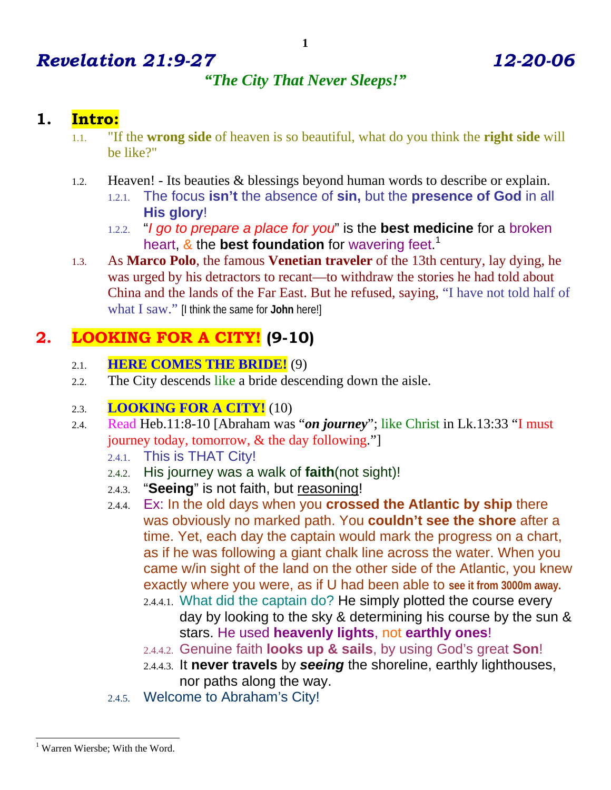# *Revelation 21:9-27 12-20-06*

### *"The City That Never Sleeps!"*

### **1. Intro:**

- 1.1. "If the **wrong side** of heaven is so beautiful, what do you think the **right side** will be like?"
- 1.2. Heaven! Its beauties & blessings beyond human words to describe or explain. 1.2.1. The focus **isn't** the absence of **sin,** but the **presence of God** in all
	- **His glory**!
	- 1.2.2. "*I go to prepare a place for you*" is the **best medicine** for a broken heart, & the **best foundation** for wavering feet. 1
- 1.3. As **Marco Polo**, the famous **Venetian traveler** of the 13th century, lay dying, he was urged by his detractors to recant—to withdraw the stories he had told about China and the lands of the Far East. But he refused, saying, "I have not told half of what I saw." [I think the same for **John** here!]

### **2. LOOKING FOR A CITY! (9-10)**

- 2.1. **HERE COMES THE BRIDE!** (9)
- 2.2. The City descends like a bride descending down the aisle.

### 2.3. **LOOKING FOR A CITY!** (10)

- 2.4. Read Heb.11:8-10 [Abraham was "*on journey*"; like Christ in Lk.13:33 "I must journey today, tomorrow, & the day following."]
	- 2.4.1. This is THAT City!
	- 2.4.2. His journey was a walk of **faith**(not sight)!
	- 2.4.3. "**Seeing**" is not faith, but reasoning!
	- 2.4.4. Ex: In the old days when you **crossed the Atlantic by ship** there was obviously no marked path. You **couldn't see the shore** after a time. Yet, each day the captain would mark the progress on a chart, as if he was following a giant chalk line across the water. When you came w/in sight of the land on the other side of the Atlantic, you knew exactly where you were, as if U had been able to **see it from 3000m away.**
		- 2.4.4.1. What did the captain do? He simply plotted the course every day by looking to the sky & determining his course by the sun & stars. He used **heavenly lights**, not **earthly ones**!
		- 2.4.4.2. Genuine faith **looks up & sails**, by using God's great **Son**!
		- 2.4.4.3. It **never travels** by *seeing* the shoreline, earthly lighthouses, nor paths along the way.
	- 2.4.5. Welcome to Abraham's City!

<sup>-</sup><sup>1</sup> Warren Wiersbe; With the Word.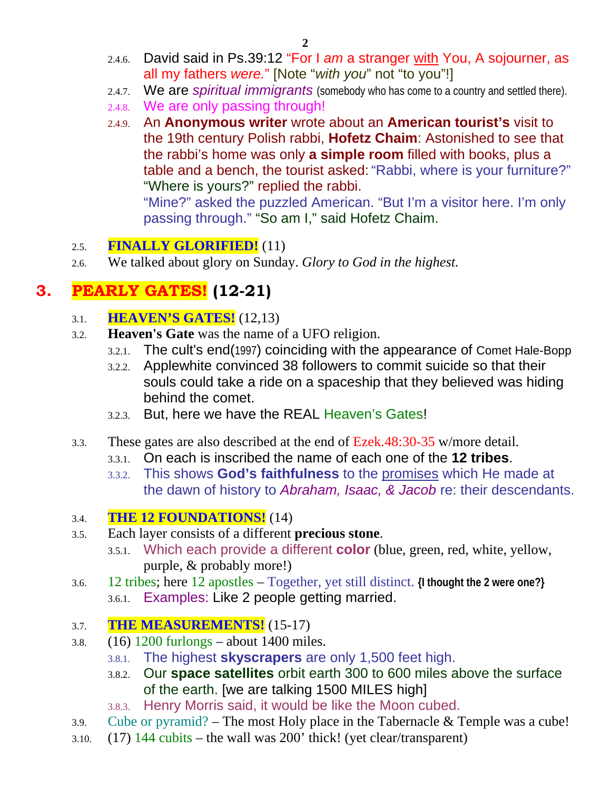- 2.4.6. David said in Ps.39:12 "For I *am* a stranger with You, A sojourner, as all my fathers *were.*" [Note "*with you*" not "to you"!]
- 2.4.7. We are *spiritual immigrants* (somebody who has come to a country and settled there).
- 2.4.8. We are only passing through!
- 2.4.9. An **Anonymous writer** wrote about an **American tourist's** visit to the 19th century Polish rabbi, **Hofetz Chaim**: Astonished to see that the rabbi's home was only **a simple room** filled with books, plus a table and a bench, the tourist asked: "Rabbi, where is your furniture?" "Where is yours?" replied the rabbi.

"Mine?" asked the puzzled American. "But I'm a visitor here. I'm only passing through." "So am I," said Hofetz Chaim.

### 2.5. **FINALLY GLORIFIED!** (11)

2.6. We talked about glory on Sunday. *Glory to God in the highest.*

# **3. PEARLY GATES! (12-21)**

- 3.1. **HEAVEN'S GATES!** (12,13)
- 3.2. **Heaven's Gate** was the name of a UFO religion.
	- 3.2.1. The cult's end(1997) coinciding with the appearance of Comet Hale-Bopp
	- 3.2.2. Applewhite convinced 38 followers to commit suicide so that their souls could take a ride on a spaceship that they believed was hiding behind the comet.
	- 3.2.3. But, here we have the REAL Heaven's Gates!
- 3.3. These gates are also described at the end of Ezek.48:30-35 w/more detail.
	- 3.3.1. On each is inscribed the name of each one of the **12 tribes**.
	- 3.3.2. This shows **God's faithfulness** to the promises which He made at the dawn of history to *Abraham, Isaac, & Jacob* re: their descendants.

### 3.4. **THE 12 FOUNDATIONS!** (14)

- 3.5. Each layer consists of a different **precious stone**.
	- 3.5.1. Which each provide a different **color** (blue, green, red, white, yellow, purple, & probably more!)
- 3.6. 12 tribes; here 12 apostles Together, yet still distinct. **{I thought the 2 were one?}** 3.6.1. Examples: Like 2 people getting married.

### 3.7. **THE MEASUREMENTS!** (15-17)

- 3.8.  $(16)$  1200 furlongs about 1400 miles.
	- 3.8.1. The highest **skyscrapers** are only 1,500 feet high.
	- 3.8.2. Our **space satellites** orbit earth 300 to 600 miles above the surface of the earth. [we are talking 1500 MILES high]
	- 3.8.3. Henry Morris said, it would be like the Moon cubed.
- 3.9. Cube or pyramid? The most Holy place in the Tabernacle & Temple was a cube!
- 3.10.  $(17)$  144 cubits the wall was 200' thick! (yet clear/transparent)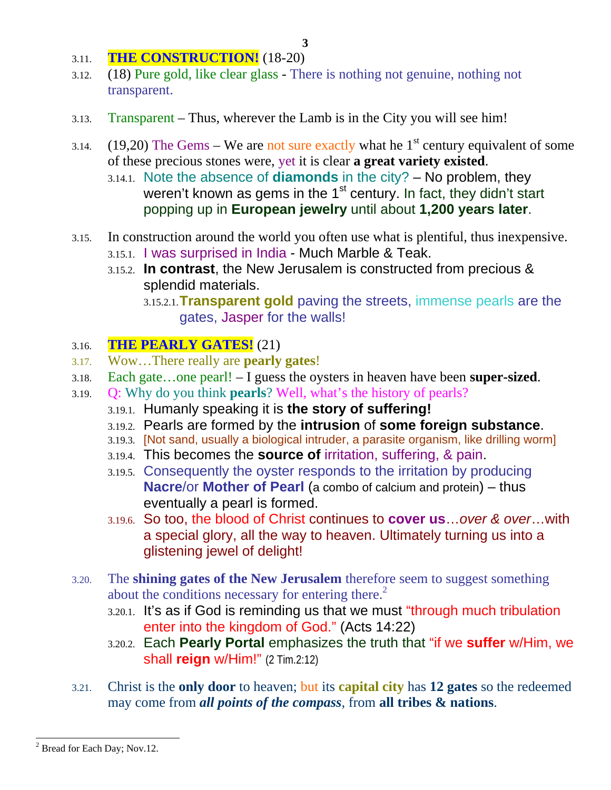- 3.11. **THE CONSTRUCTION!** (18-20)
- 3.12. (18) Pure gold, like clear glass There is nothing not genuine, nothing not transparent.
- 3.13. Transparent Thus, wherever the Lamb is in the City you will see him!
- 3.14. (19,20) The Gems We are not sure exactly what he  $1<sup>st</sup>$  century equivalent of some of these precious stones were, yet it is clear **a great variety existed**.
	- 3.14.1. Note the absence of **diamonds** in the city? No problem, they weren't known as gems in the 1<sup>st</sup> century. In fact, they didn't start popping up in **European jewelry** until about **1,200 years later**.
- 3.15. In construction around the world you often use what is plentiful, thus inexpensive. 3.15.1. I was surprised in India - Much Marble & Teak.
	- 3.15.2. **In contrast**, the New Jerusalem is constructed from precious & splendid materials.
		- 3.15.2.1.**Transparent gold** paving the streets, immense pearls are the gates, Jasper for the walls!

### 3.16. **THE PEARLY GATES!** (21)

- 3.17. Wow…There really are **pearly gates**!
- 3.18. Each gate…one pearl! I guess the oysters in heaven have been **super-sized**.
- 3.19. Q: Why do you think **pearls**? Well, what's the history of pearls?
	- 3.19.1. Humanly speaking it is **the story of suffering!**
	- 3.19.2. Pearls are formed by the **intrusion** of **some foreign substance**.
	- 3.19.3. [Not sand, usually a biological intruder, a parasite organism, like drilling worm]
	- 3.19.4. This becomes the **source of** irritation, suffering, & pain.
	- 3.19.5. Consequently the oyster responds to the irritation by producing **Nacre**/or **Mother of Pearl** (a combo of calcium and protein) – thus eventually a pearl is formed.
	- 3.19.6. So too, the blood of Christ continues to **cover us**…*over & over*…with a special glory, all the way to heaven. Ultimately turning us into a glistening jewel of delight!
- 3.20. The **shining gates of the New Jerusalem** therefore seem to suggest something about the conditions necessary for entering there. $<sup>2</sup>$ </sup>
	- 3.20.1. It's as if God is reminding us that we must "through much tribulation enter into the kingdom of God." (Acts 14:22)
	- 3.20.2. Each **Pearly Portal** emphasizes the truth that "if we **suffer** w/Him, we shall **reign** w/Him!" (2 Tim.2:12)
- 3.21. Christ is the **only door** to heaven; but its **capital city** has **12 gates** so the redeemed may come from *all points of the compass*, from **all tribes & nations**.

 $\overline{\phantom{a}}$ 

 $2^2$  Bread for Each Day; Nov.12.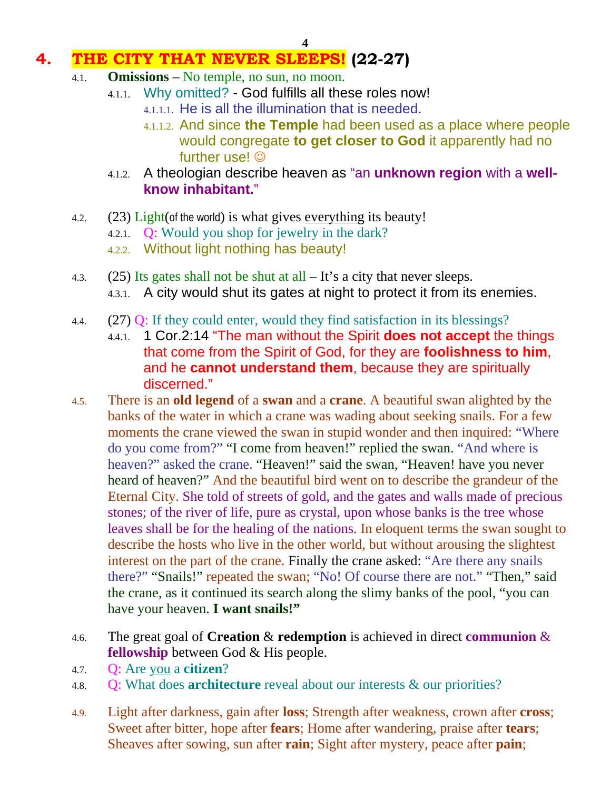# **4. THE CITY THAT NEVER SLEEPS! (22-27)**

- 4.1. **Omissions** No temple, no sun, no moon.
	- 4.1.1. Why omitted? God fulfills all these roles now!
		- 4.1.1.1. He is all the illumination that is needed.
		- 4.1.1.2. And since **the Temple** had been used as a place where people would congregate **to get closer to God** it apparently had no further use!  $\odot$
	- 4.1.2. A theologian describe heaven as "an **unknown region** with a **wellknow inhabitant.**"
- 4.2.  $(23)$  Light(of the world) is what gives everything its beauty!
	- 4.2.1. Q: Would you shop for jewelry in the dark?
	- 4.2.2. Without light nothing has beauty!
- 4.3. (25) Its gates shall not be shut at all  $-$  It's a city that never sleeps. 4.3.1. A city would shut its gates at night to protect it from its enemies.
- 4.4. (27) Q: If they could enter, would they find satisfaction in its blessings?
	- 4.4.1. 1 Cor.2:14 "The man without the Spirit **does not accept** the things that come from the Spirit of God, for they are **foolishness to him**, and he **cannot understand them**, because they are spiritually discerned."
- 4.5. There is an **old legend** of a **swan** and a **crane**. A beautiful swan alighted by the banks of the water in which a crane was wading about seeking snails. For a few moments the crane viewed the swan in stupid wonder and then inquired: "Where do you come from?" "I come from heaven!" replied the swan. "And where is heaven?" asked the crane. "Heaven!" said the swan, "Heaven! have you never heard of heaven?" And the beautiful bird went on to describe the grandeur of the Eternal City. She told of streets of gold, and the gates and walls made of precious stones; of the river of life, pure as crystal, upon whose banks is the tree whose leaves shall be for the healing of the nations. In eloquent terms the swan sought to describe the hosts who live in the other world, but without arousing the slightest interest on the part of the crane. Finally the crane asked: "Are there any snails there?" "Snails!" repeated the swan; "No! Of course there are not." "Then," said the crane, as it continued its search along the slimy banks of the pool, "you can have your heaven. **I want snails!"**
- 4.6. The great goal of **Creation** & **redemption** is achieved in direct **communion** & **fellowship** between God & His people.
- 4.7. Q: Are you a **citizen**?
- 4.8. Q: What does **architecture** reveal about our interests & our priorities?
- 4.9. Light after darkness, gain after **loss**; Strength after weakness, crown after **cross**; Sweet after bitter, hope after **fears**; Home after wandering, praise after **tears**; Sheaves after sowing, sun after **rain**; Sight after mystery, peace after **pain**;